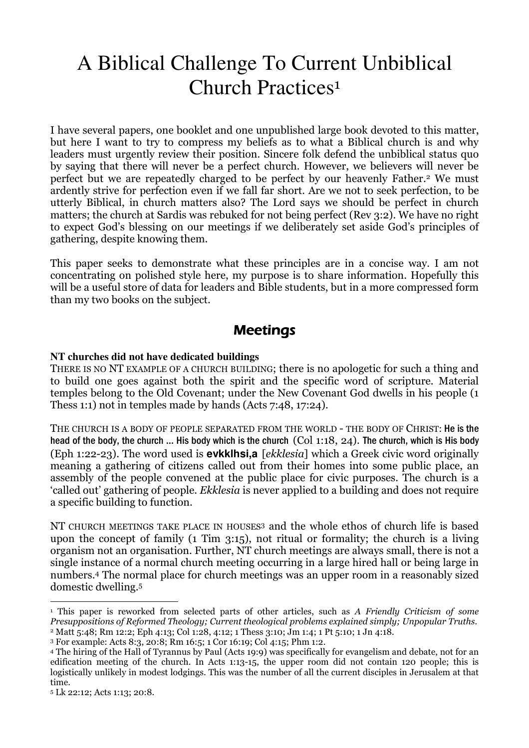# A Biblical Challenge To Current Unbiblical Church Practices<sup>1</sup>

I have several papers, one booklet and one unpublished large book devoted to this matter, but here I want to try to compress my beliefs as to what a Biblical church is and why leaders must urgently review their position. Sincere folk defend the unbiblical status quo by saying that there will never be a perfect church. However, we believers will never be perfect but we are repeatedly charged to be perfect by our heavenly Father.2 We must ardently strive for perfection even if we fall far short. Are we not to seek perfection, to be utterly Biblical, in church matters also? The Lord says we should be perfect in church matters; the church at Sardis was rebuked for not being perfect (Rev 3:2). We have no right to expect God's blessing on our meetings if we deliberately set aside God's principles of gathering, despite knowing them.

This paper seeks to demonstrate what these principles are in a concise way. I am not concentrating on polished style here, my purpose is to share information. Hopefully this will be a useful store of data for leaders and Bible students, but in a more compressed form than my two books on the subject.

# **Meetings**

#### **NT churches did not have dedicated buildings**

THERE IS NO NT EXAMPLE OF A CHURCH BUILDING; there is no apologetic for such a thing and to build one goes against both the spirit and the specific word of scripture. Material temples belong to the Old Covenant; under the New Covenant God dwells in his people (1 Thess 1:1) not in temples made by hands (Acts 7:48, 17:24).

THE CHURCH IS A BODY OF PEOPLE SEPARATED FROM THE WORLD - THE BODY OF CHRIST: He is the head of the body, the church ... His body which is the church  $(Col 1:18, 24)$ . The church, which is His body (Eph 1:22-23). The word used is **evkklhsi,a** [ekklesia] which a Greek civic word originally meaning a gathering of citizens called out from their homes into some public place, an assembly of the people convened at the public place for civic purposes. The church is a 'called out' gathering of people. Ekklesia is never applied to a building and does not require a specific building to function.

NT CHURCH MEETINGS TAKE PLACE IN HOUSES<sup>3</sup> and the whole ethos of church life is based upon the concept of family (1 Tim 3:15), not ritual or formality; the church is a living organism not an organisation. Further, NT church meetings are always small, there is not a single instance of a normal church meeting occurring in a large hired hall or being large in numbers.4 The normal place for church meetings was an upper room in a reasonably sized domestic dwelling.<sup>5</sup>

 $\overline{a}$ <sup>1</sup> This paper is reworked from selected parts of other articles, such as A Friendly Criticism of some Presuppositions of Reformed Theology; Current theological problems explained simply; Unpopular Truths. <sup>2</sup> Matt 5:48; Rm 12:2; Eph 4:13; Col 1:28, 4:12; 1 Thess 3:10; Jm 1:4; 1 Pt 5:10; 1 Jn 4:18.

<sup>3</sup> For example: Acts 8:3, 20:8; Rm 16:5; 1 Cor 16:19; Col 4:15; Phm 1:2.

<sup>4</sup> The hiring of the Hall of Tyrannus by Paul (Acts 19:9) was specifically for evangelism and debate, not for an edification meeting of the church. In Acts 1:13-15, the upper room did not contain 120 people; this is logistically unlikely in modest lodgings. This was the number of all the current disciples in Jerusalem at that time.

<sup>5</sup> Lk 22:12; Acts 1:13; 20:8.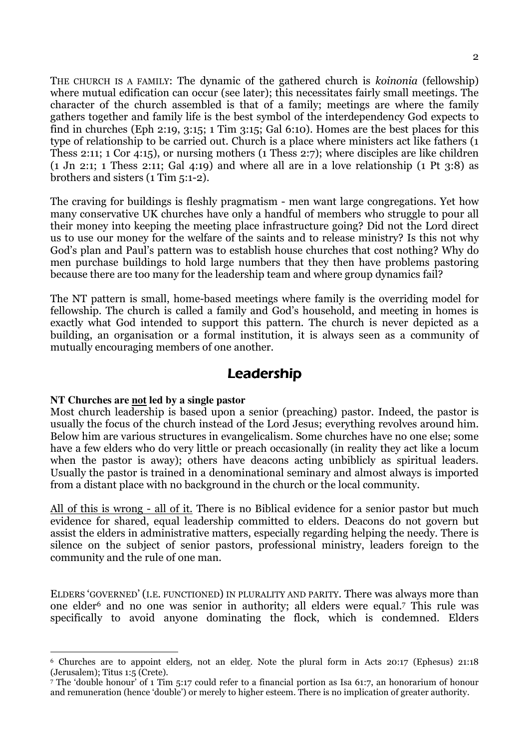THE CHURCH IS A FAMILY: The dynamic of the gathered church is *koinonia* (fellowship) where mutual edification can occur (see later); this necessitates fairly small meetings. The character of the church assembled is that of a family; meetings are where the family gathers together and family life is the best symbol of the interdependency God expects to find in churches (Eph 2:19, 3:15; 1 Tim 3:15; Gal 6:10). Homes are the best places for this type of relationship to be carried out. Church is a place where ministers act like fathers (1 Thess 2:11; 1 Cor 4:15), or nursing mothers (1 Thess 2:7); where disciples are like children (1 Jn 2:1; 1 Thess 2:11; Gal 4:19) and where all are in a love relationship (1 Pt 3:8) as brothers and sisters (1 Tim 5:1-2).

The craving for buildings is fleshly pragmatism - men want large congregations. Yet how many conservative UK churches have only a handful of members who struggle to pour all their money into keeping the meeting place infrastructure going? Did not the Lord direct us to use our money for the welfare of the saints and to release ministry? Is this not why God's plan and Paul's pattern was to establish house churches that cost nothing? Why do men purchase buildings to hold large numbers that they then have problems pastoring because there are too many for the leadership team and where group dynamics fail?

The NT pattern is small, home-based meetings where family is the overriding model for fellowship. The church is called a family and God's household, and meeting in homes is exactly what God intended to support this pattern. The church is never depicted as a building, an organisation or a formal institution, it is always seen as a community of mutually encouraging members of one another.

# Leadership

## **NT Churches are not led by a single pastor**

Most church leadership is based upon a senior (preaching) pastor. Indeed, the pastor is usually the focus of the church instead of the Lord Jesus; everything revolves around him. Below him are various structures in evangelicalism. Some churches have no one else; some have a few elders who do very little or preach occasionally (in reality they act like a locum when the pastor is away); others have deacons acting unbiblicly as spiritual leaders. Usually the pastor is trained in a denominational seminary and almost always is imported from a distant place with no background in the church or the local community.

All of this is wrong - all of it. There is no Biblical evidence for a senior pastor but much evidence for shared, equal leadership committed to elders. Deacons do not govern but assist the elders in administrative matters, especially regarding helping the needy. There is silence on the subject of senior pastors, professional ministry, leaders foreign to the community and the rule of one man.

ELDERS 'GOVERNED' (I.E. FUNCTIONED) IN PLURALITY AND PARITY. There was always more than one elder6 and no one was senior in authority; all elders were equal.7 This rule was specifically to avoid anyone dominating the flock, which is condemned. Elders

 $\overline{a}$ <sup>6</sup> Churches are to appoint elders, not an elder. Note the plural form in Acts 20:17 (Ephesus) 21:18 (Jerusalem); Titus 1:5 (Crete).

<sup>7</sup> The 'double honour' of 1 Tim 5:17 could refer to a financial portion as Isa 61:7, an honorarium of honour and remuneration (hence 'double') or merely to higher esteem. There is no implication of greater authority.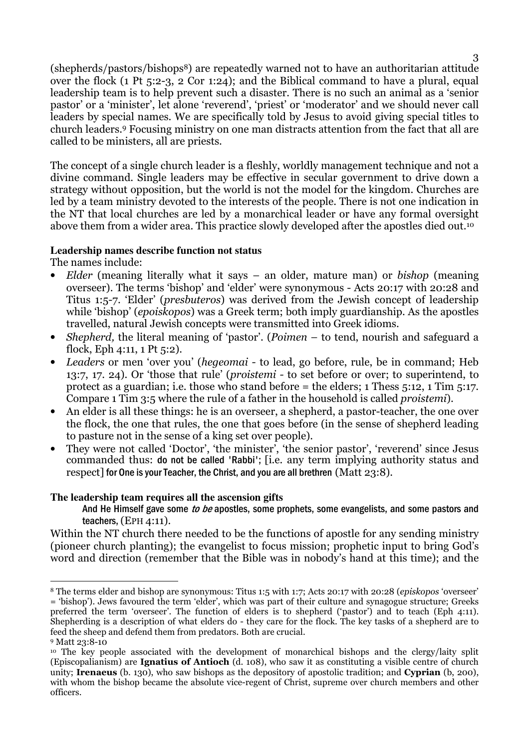(shepherds/pastors/bishops8) are repeatedly warned not to have an authoritarian attitude over the flock (1 Pt 5:2-3, 2 Cor 1:24); and the Biblical command to have a plural, equal leadership team is to help prevent such a disaster. There is no such an animal as a 'senior pastor' or a 'minister', let alone 'reverend', 'priest' or 'moderator' and we should never call leaders by special names. We are specifically told by Jesus to avoid giving special titles to church leaders.9 Focusing ministry on one man distracts attention from the fact that all are called to be ministers, all are priests.

The concept of a single church leader is a fleshly, worldly management technique and not a divine command. Single leaders may be effective in secular government to drive down a strategy without opposition, but the world is not the model for the kingdom. Churches are led by a team ministry devoted to the interests of the people. There is not one indication in the NT that local churches are led by a monarchical leader or have any formal oversight above them from a wider area. This practice slowly developed after the apostles died out.<sup>10</sup>

## **Leadership names describe function not status**

The names include:

- Elder (meaning literally what it says an older, mature man) or bishop (meaning overseer). The terms 'bishop' and 'elder' were synonymous - Acts 20:17 with 20:28 and Titus 1:5-7. 'Elder' (presbuteros) was derived from the Jewish concept of leadership while 'bishop' (*epoiskopos*) was a Greek term; both imply guardianship. As the apostles travelled, natural Jewish concepts were transmitted into Greek idioms.
- Shepherd, the literal meaning of 'pastor'. (Poimen to tend, nourish and safeguard a flock, Eph 4:11, 1 Pt 5:2).
- Leaders or men 'over you' (hegeomai to lead, go before, rule, be in command; Heb 13:7, 17. 24). Or 'those that rule' (proistemi - to set before or over; to superintend, to protect as a guardian; i.e. those who stand before = the elders; 1 Thess 5:12, 1 Tim 5:17. Compare 1 Tim 3:5 where the rule of a father in the household is called proistemi).
- An elder is all these things: he is an overseer, a shepherd, a pastor-teacher, the one over the flock, the one that rules, the one that goes before (in the sense of shepherd leading to pasture not in the sense of a king set over people).
- They were not called 'Doctor', 'the minister', 'the senior pastor', 'reverend' since Jesus commanded thus: do not be called 'Rabbi'; [i.e. any term implying authority status and respect] for One is your Teacher, the Christ, and you are all brethren (Matt 23:8).

## **The leadership team requires all the ascension gifts**

And He Himself gave some *to be* apostles, some prophets, some evangelists, and some pastors and teachers,  $(EPH A:11)$ .

Within the NT church there needed to be the functions of apostle for any sending ministry (pioneer church planting); the evangelist to focus mission; prophetic input to bring God's word and direction (remember that the Bible was in nobody's hand at this time); and the

3

 $\overline{a}$ <sup>8</sup> The terms elder and bishop are synonymous: Titus 1:5 with 1:7; Acts 20:17 with 20:28 (episkopos 'overseer'

<sup>= &#</sup>x27;bishop'). Jews favoured the term 'elder', which was part of their culture and synagogue structure; Greeks preferred the term 'overseer'. The function of elders is to shepherd ('pastor') and to teach (Eph 4:11). Shepherding is a description of what elders do - they care for the flock. The key tasks of a shepherd are to feed the sheep and defend them from predators. Both are crucial.

<sup>9</sup> Matt 23:8-10

<sup>&</sup>lt;sup>10</sup> The key people associated with the development of monarchical bishops and the clergy/laity split (Episcopalianism) are Ignatius of Antioch (d. 108), who saw it as constituting a visible centre of church unity; Irenaeus (b. 130), who saw bishops as the depository of apostolic tradition; and Cyprian (b, 200), with whom the bishop became the absolute vice-regent of Christ, supreme over church members and other officers.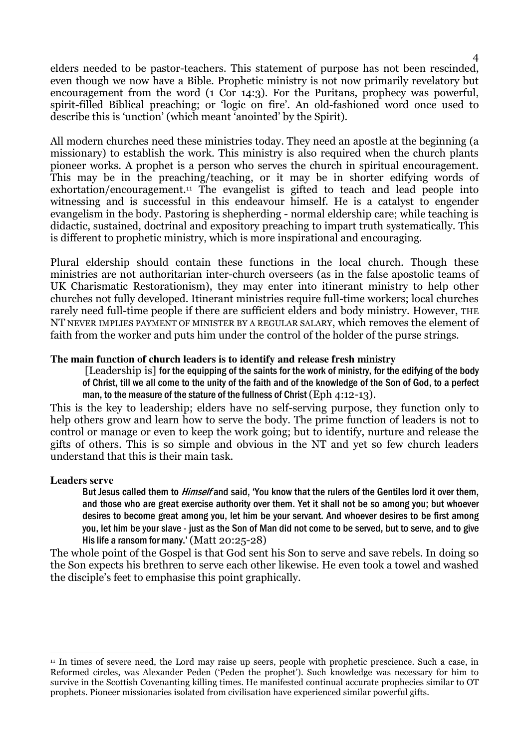elders needed to be pastor-teachers. This statement of purpose has not been rescinded, even though we now have a Bible. Prophetic ministry is not now primarily revelatory but encouragement from the word (1 Cor 14:3). For the Puritans, prophecy was powerful, spirit-filled Biblical preaching; or 'logic on fire'. An old-fashioned word once used to describe this is 'unction' (which meant 'anointed' by the Spirit).

All modern churches need these ministries today. They need an apostle at the beginning (a missionary) to establish the work. This ministry is also required when the church plants pioneer works. A prophet is a person who serves the church in spiritual encouragement. This may be in the preaching/teaching, or it may be in shorter edifying words of exhortation/encouragement.11 The evangelist is gifted to teach and lead people into witnessing and is successful in this endeavour himself. He is a catalyst to engender evangelism in the body. Pastoring is shepherding - normal eldership care; while teaching is didactic, sustained, doctrinal and expository preaching to impart truth systematically. This is different to prophetic ministry, which is more inspirational and encouraging.

Plural eldership should contain these functions in the local church. Though these ministries are not authoritarian inter-church overseers (as in the false apostolic teams of UK Charismatic Restorationism), they may enter into itinerant ministry to help other churches not fully developed. Itinerant ministries require full-time workers; local churches rarely need full-time people if there are sufficient elders and body ministry. However, THE NT NEVER IMPLIES PAYMENT OF MINISTER BY A REGULAR SALARY, which removes the element of faith from the worker and puts him under the control of the holder of the purse strings.

#### **The main function of church leaders is to identify and release fresh ministry**

 [Leadership is] for the equipping of the saints for the work of ministry, for the edifying of the body of Christ, till we all come to the unity of the faith and of the knowledge of the Son of God, to a perfect man, to the measure of the stature of the fullness of Christ (Eph 4:12-13).

This is the key to leadership; elders have no self-serving purpose, they function only to help others grow and learn how to serve the body. The prime function of leaders is not to control or manage or even to keep the work going; but to identify, nurture and release the gifts of others. This is so simple and obvious in the NT and yet so few church leaders understand that this is their main task.

#### **Leaders serve**

But Jesus called them to *Himself* and said, 'You know that the rulers of the Gentiles lord it over them, and those who are great exercise authority over them. Yet it shall not be so among you; but whoever desires to become great among you, let him be your servant. And whoever desires to be first among you, let him be your slave - just as the Son of Man did not come to be served, but to serve, and to give His life a ransom for many.' (Matt 20:25-28)

The whole point of the Gospel is that God sent his Son to serve and save rebels. In doing so the Son expects his brethren to serve each other likewise. He even took a towel and washed the disciple's feet to emphasise this point graphically.

 $\overline{a}$ <sup>11</sup> In times of severe need, the Lord may raise up seers, people with prophetic prescience. Such a case, in Reformed circles, was Alexander Peden ('Peden the prophet'). Such knowledge was necessary for him to survive in the Scottish Covenanting killing times. He manifested continual accurate prophecies similar to OT prophets. Pioneer missionaries isolated from civilisation have experienced similar powerful gifts.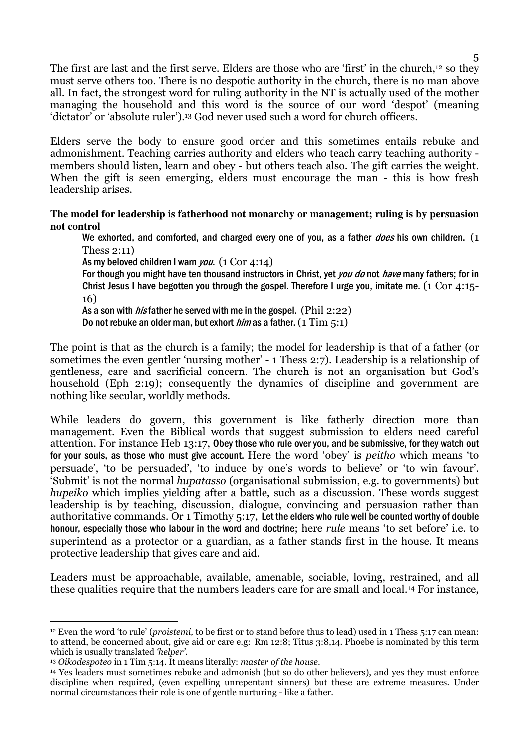The first are last and the first serve. Elders are those who are 'first' in the church,<sup>12</sup> so they must serve others too. There is no despotic authority in the church, there is no man above all. In fact, the strongest word for ruling authority in the NT is actually used of the mother managing the household and this word is the source of our word 'despot' (meaning 'dictator' or 'absolute ruler').13 God never used such a word for church officers.

Elders serve the body to ensure good order and this sometimes entails rebuke and admonishment. Teaching carries authority and elders who teach carry teaching authority members should listen, learn and obey - but others teach also. The gift carries the weight. When the gift is seen emerging, elders must encourage the man - this is how fresh leadership arises.

**The model for leadership is fatherhood not monarchy or management; ruling is by persuasion not control** 

We exhorted, and comforted, and charged every one of you, as a father *does* his own children. (1 Thess 2:11)

As my beloved children I warn *vou.*  $(1 \text{ Cor } 4:14)$ 

For though you might have ten thousand instructors in Christ, yet *you do* not *have* many fathers; for in Christ Jesus I have begotten you through the gospel. Therefore I urge you, imitate me. (1 Cor 4:15- 16)

As a son with *his* father he served with me in the gospel. (Phil  $2:22$ )

Do not rebuke an older man, but exhort *him* as a father.  $(1 \text{ Tim } 5:1)$ 

The point is that as the church is a family; the model for leadership is that of a father (or sometimes the even gentler 'nursing mother' - 1 Thess 2:7). Leadership is a relationship of gentleness, care and sacrificial concern. The church is not an organisation but God's household (Eph 2:19); consequently the dynamics of discipline and government are nothing like secular, worldly methods.

While leaders do govern, this government is like fatherly direction more than management. Even the Biblical words that suggest submission to elders need careful attention. For instance Heb 13:17, Obey those who rule over you, and be submissive, for they watch out for your souls, as those who must give account. Here the word 'obey' is *peitho* which means 'to persuade', 'to be persuaded', 'to induce by one's words to believe' or 'to win favour'. 'Submit' is not the normal hupatasso (organisational submission, e.g. to governments) but hupeiko which implies yielding after a battle, such as a discussion. These words suggest leadership is by teaching, discussion, dialogue, convincing and persuasion rather than authoritative commands. Or 1 Timothy 5:17, Let the elders who rule well be counted worthy of double honour, especially those who labour in the word and doctrine; here rule means 'to set before' i.e. to superintend as a protector or a guardian, as a father stands first in the house. It means protective leadership that gives care and aid.

Leaders must be approachable, available, amenable, sociable, loving, restrained, and all these qualities require that the numbers leaders care for are small and local.14 For instance,

 $\overline{a}$ <sup>12</sup> Even the word 'to rule' (*proistemi*, to be first or to stand before thus to lead) used in 1 Thess  $5:17$  can mean: to attend, be concerned about, give aid or care e.g: Rm 12:8; Titus 3:8,14. Phoebe is nominated by this term which is usually translated 'helper'.

<sup>&</sup>lt;sup>13</sup> Oikodespoteo in 1 Tim 5:14. It means literally: master of the house.

<sup>14</sup> Yes leaders must sometimes rebuke and admonish (but so do other believers), and yes they must enforce discipline when required, (even expelling unrepentant sinners) but these are extreme measures. Under normal circumstances their role is one of gentle nurturing - like a father.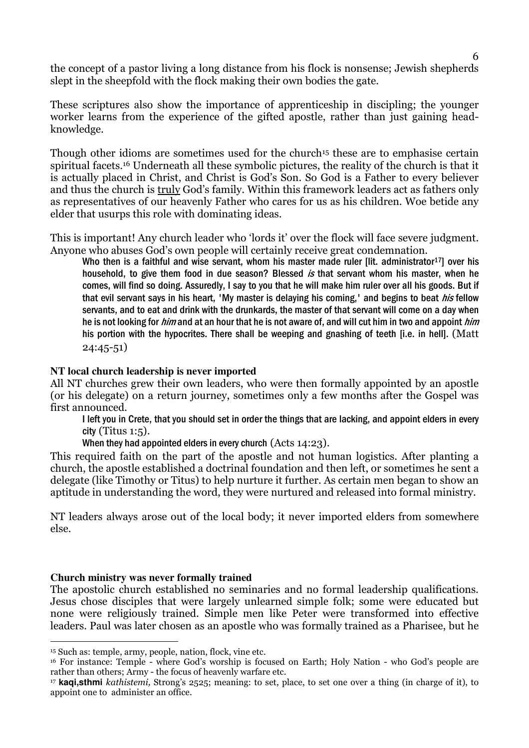the concept of a pastor living a long distance from his flock is nonsense; Jewish shepherds slept in the sheepfold with the flock making their own bodies the gate.

These scriptures also show the importance of apprenticeship in discipling; the younger worker learns from the experience of the gifted apostle, rather than just gaining headknowledge.

Though other idioms are sometimes used for the church<sup>15</sup> these are to emphasise certain spiritual facets.16 Underneath all these symbolic pictures, the reality of the church is that it is actually placed in Christ, and Christ is God's Son. So God is a Father to every believer and thus the church is truly God's family. Within this framework leaders act as fathers only as representatives of our heavenly Father who cares for us as his children. Woe betide any elder that usurps this role with dominating ideas.

This is important! Any church leader who 'lords it' over the flock will face severe judgment. Anyone who abuses God's own people will certainly receive great condemnation.

Who then is a faithful and wise servant, whom his master made ruler [lit. administrator<sup>17</sup>] over his household, to give them food in due season? Blessed is that servant whom his master, when he comes, will find so doing. Assuredly, I say to you that he will make him ruler over all his goods. But if that evil servant says in his heart. 'My master is delaying his coming,' and begins to beat *his* fellow servants, and to eat and drink with the drunkards, the master of that servant will come on a day when he is not looking for *him* and at an hour that he is not aware of, and will cut him in two and appoint *him* his portion with the hypocrites. There shall be weeping and gnashing of teeth [i.e. in hell]. (Matt 24:45-51)

#### **NT local church leadership is never imported**

All NT churches grew their own leaders, who were then formally appointed by an apostle (or his delegate) on a return journey, sometimes only a few months after the Gospel was first announced.

I left you in Crete, that you should set in order the things that are lacking, and appoint elders in every city (Titus 1:5).

When they had appointed elders in every church (Acts 14:23).

This required faith on the part of the apostle and not human logistics. After planting a church, the apostle established a doctrinal foundation and then left, or sometimes he sent a delegate (like Timothy or Titus) to help nurture it further. As certain men began to show an aptitude in understanding the word, they were nurtured and released into formal ministry.

NT leaders always arose out of the local body; it never imported elders from somewhere else.

#### **Church ministry was never formally trained**

The apostolic church established no seminaries and no formal leadership qualifications. Jesus chose disciples that were largely unlearned simple folk; some were educated but none were religiously trained. Simple men like Peter were transformed into effective leaders. Paul was later chosen as an apostle who was formally trained as a Pharisee, but he

 $\overline{a}$ <sup>15</sup> Such as: temple, army, people, nation, flock, vine etc.

<sup>&</sup>lt;sup>16</sup> For instance: Temple - where God's worship is focused on Earth; Holy Nation - who God's people are rather than others; Army - the focus of heavenly warfare etc.

<sup>17</sup> **kaqi,sthmi** kathistemi, Strong's 2525; meaning: to set, place, to set one over a thing (in charge of it), to appoint one to administer an office.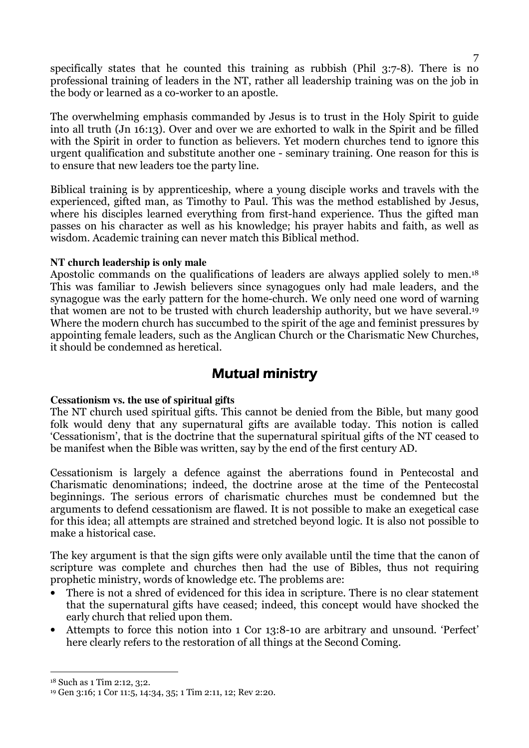specifically states that he counted this training as rubbish (Phil 3:7-8). There is no professional training of leaders in the NT, rather all leadership training was on the job in the body or learned as a co-worker to an apostle.

The overwhelming emphasis commanded by Jesus is to trust in the Holy Spirit to guide into all truth (Jn 16:13). Over and over we are exhorted to walk in the Spirit and be filled with the Spirit in order to function as believers. Yet modern churches tend to ignore this urgent qualification and substitute another one - seminary training. One reason for this is to ensure that new leaders toe the party line.

Biblical training is by apprenticeship, where a young disciple works and travels with the experienced, gifted man, as Timothy to Paul. This was the method established by Jesus, where his disciples learned everything from first-hand experience. Thus the gifted man passes on his character as well as his knowledge; his prayer habits and faith, as well as wisdom. Academic training can never match this Biblical method.

## **NT church leadership is only male**

Apostolic commands on the qualifications of leaders are always applied solely to men.<sup>18</sup> This was familiar to Jewish believers since synagogues only had male leaders, and the synagogue was the early pattern for the home-church. We only need one word of warning that women are not to be trusted with church leadership authority, but we have several.<sup>19</sup> Where the modern church has succumbed to the spirit of the age and feminist pressures by appointing female leaders, such as the Anglican Church or the Charismatic New Churches, it should be condemned as heretical.

# Mutual ministry

## **Cessationism vs. the use of spiritual gifts**

The NT church used spiritual gifts. This cannot be denied from the Bible, but many good folk would deny that any supernatural gifts are available today. This notion is called 'Cessationism', that is the doctrine that the supernatural spiritual gifts of the NT ceased to be manifest when the Bible was written, say by the end of the first century AD.

Cessationism is largely a defence against the aberrations found in Pentecostal and Charismatic denominations; indeed, the doctrine arose at the time of the Pentecostal beginnings. The serious errors of charismatic churches must be condemned but the arguments to defend cessationism are flawed. It is not possible to make an exegetical case for this idea; all attempts are strained and stretched beyond logic. It is also not possible to make a historical case.

The key argument is that the sign gifts were only available until the time that the canon of scripture was complete and churches then had the use of Bibles, thus not requiring prophetic ministry, words of knowledge etc. The problems are:

- There is not a shred of evidenced for this idea in scripture. There is no clear statement that the supernatural gifts have ceased; indeed, this concept would have shocked the early church that relied upon them.
- Attempts to force this notion into 1 Cor 13:8-10 are arbitrary and unsound. 'Perfect' here clearly refers to the restoration of all things at the Second Coming.

 $\overline{a}$ 

<sup>18</sup> Such as 1 Tim 2:12, 3;2.

<sup>19</sup> Gen 3:16; 1 Cor 11:5, 14:34, 35; 1 Tim 2:11, 12; Rev 2:20.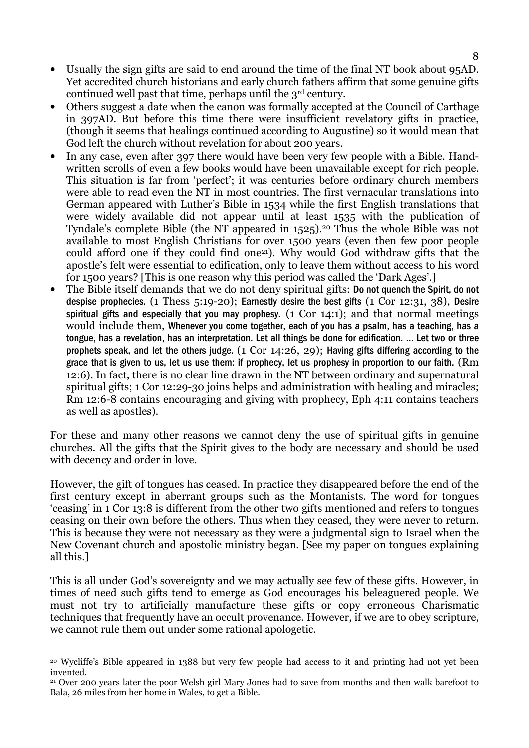- Usually the sign gifts are said to end around the time of the final NT book about 95AD. Yet accredited church historians and early church fathers affirm that some genuine gifts continued well past that time, perhaps until the 3rd century.
- Others suggest a date when the canon was formally accepted at the Council of Carthage in 397AD. But before this time there were insufficient revelatory gifts in practice, (though it seems that healings continued according to Augustine) so it would mean that God left the church without revelation for about 200 years.
- In any case, even after 397 there would have been very few people with a Bible. Handwritten scrolls of even a few books would have been unavailable except for rich people. This situation is far from 'perfect'; it was centuries before ordinary church members were able to read even the NT in most countries. The first vernacular translations into German appeared with Luther's Bible in 1534 while the first English translations that were widely available did not appear until at least 1535 with the publication of Tyndale's complete Bible (the NT appeared in 1525).20 Thus the whole Bible was not available to most English Christians for over 1500 years (even then few poor people could afford one if they could find one21). Why would God withdraw gifts that the apostle's felt were essential to edification, only to leave them without access to his word for 1500 years? [This is one reason why this period was called the 'Dark Ages'.]
- The Bible itself demands that we do not deny spiritual gifts: Do not quench the Spirit, do not despise prophecies. (1 Thess 5:19-20); Earnestly desire the best gifts (1 Cor 12:31, 38), Desire spiritual gifts and especially that you may prophesy.  $(1 \text{ Cor } 14:1)$ ; and that normal meetings would include them, Whenever you come together, each of you has a psalm, has a teaching, has a tongue, has a revelation, has an interpretation. Let all things be done for edification. … Let two or three prophets speak, and let the others judge. (1 Cor 14:26, 29); Having gifts differing according to the grace that is given to us, let us use them: if prophecy, let us prophesy in proportion to our faith. (Rm 12:6). In fact, there is no clear line drawn in the NT between ordinary and supernatural spiritual gifts; 1 Cor 12:29-30 joins helps and administration with healing and miracles; Rm 12:6-8 contains encouraging and giving with prophecy, Eph 4:11 contains teachers as well as apostles).

For these and many other reasons we cannot deny the use of spiritual gifts in genuine churches. All the gifts that the Spirit gives to the body are necessary and should be used with decency and order in love.

However, the gift of tongues has ceased. In practice they disappeared before the end of the first century except in aberrant groups such as the Montanists. The word for tongues 'ceasing' in 1 Cor 13:8 is different from the other two gifts mentioned and refers to tongues ceasing on their own before the others. Thus when they ceased, they were never to return. This is because they were not necessary as they were a judgmental sign to Israel when the New Covenant church and apostolic ministry began. [See my paper on tongues explaining all this.]

This is all under God's sovereignty and we may actually see few of these gifts. However, in times of need such gifts tend to emerge as God encourages his beleaguered people. We must not try to artificially manufacture these gifts or copy erroneous Charismatic techniques that frequently have an occult provenance. However, if we are to obey scripture, we cannot rule them out under some rational apologetic.

 $\overline{a}$ <sup>20</sup> Wycliffe's Bible appeared in 1388 but very few people had access to it and printing had not yet been invented.

<sup>21</sup> Over 200 years later the poor Welsh girl Mary Jones had to save from months and then walk barefoot to Bala, 26 miles from her home in Wales, to get a Bible.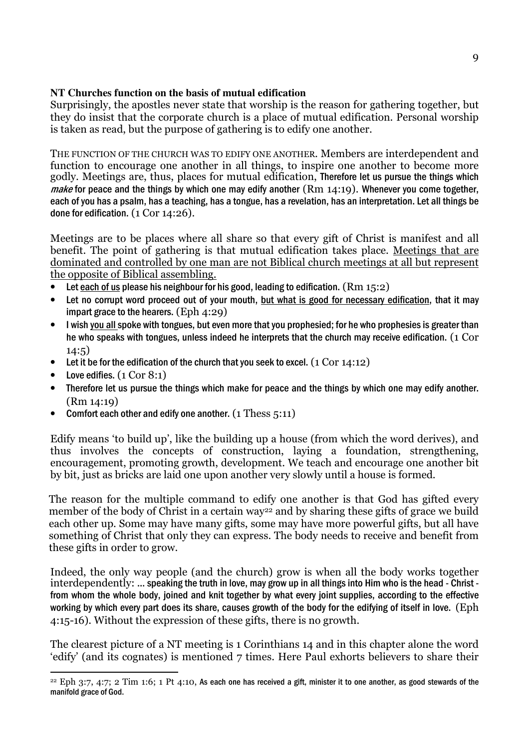## **NT Churches function on the basis of mutual edification**

Surprisingly, the apostles never state that worship is the reason for gathering together, but they do insist that the corporate church is a place of mutual edification. Personal worship is taken as read, but the purpose of gathering is to edify one another.

THE FUNCTION OF THE CHURCH WAS TO EDIFY ONE ANOTHER. Members are interdependent and function to encourage one another in all things, to inspire one another to become more godly. Meetings are, thus, places for mutual edification, Therefore let us pursue the things which *make* for peace and the things by which one may edify another  $(Rm 14:19)$ . Whenever you come together, each of you has a psalm, has a teaching, has a tongue, has a revelation, has an interpretation. Let all things be done for edification. (1 Cor 14:26).

Meetings are to be places where all share so that every gift of Christ is manifest and all benefit. The point of gathering is that mutual edification takes place. Meetings that are dominated and controlled by one man are not Biblical church meetings at all but represent the opposite of Biblical assembling.

- Let each of us please his neighbour for his good, leading to edification.  $(Rm 15:2)$
- Let no corrupt word proceed out of your mouth, but what is good for necessary edification, that it may impart grace to the hearers. (Eph 4:29)
- I wish you all spoke with tongues, but even more that you prophesied; for he who prophesies is greater than he who speaks with tongues, unless indeed he interprets that the church may receive edification. (1 Cor 14:5)
- Let it be for the edification of the church that you seek to excel.  $(1 \text{ Cor } 14:12)$
- Love edifies.  $(1 \text{ Cor } 8:1)$
- Therefore let us pursue the things which make for peace and the things by which one may edify another. (Rm 14:19)
- Comfort each other and edify one another. (1 Thess 5:11)

Edify means 'to build up', like the building up a house (from which the word derives), and thus involves the concepts of construction, laying a foundation, strengthening, encouragement, promoting growth, development. We teach and encourage one another bit by bit, just as bricks are laid one upon another very slowly until a house is formed.

The reason for the multiple command to edify one another is that God has gifted every member of the body of Christ in a certain way<sup>22</sup> and by sharing these gifts of grace we build each other up. Some may have many gifts, some may have more powerful gifts, but all have something of Christ that only they can express. The body needs to receive and benefit from these gifts in order to grow.

Indeed, the only way people (and the church) grow is when all the body works together interdependently: … speaking the truth in love, may grow up in all things into Him who is the head - Christ from whom the whole body, joined and knit together by what every joint supplies, according to the effective working by which every part does its share, causes growth of the body for the edifying of itself in love. (Eph 4:15-16). Without the expression of these gifts, there is no growth.

The clearest picture of a NT meeting is 1 Corinthians 14 and in this chapter alone the word 'edify' (and its cognates) is mentioned 7 times. Here Paul exhorts believers to share their

 $\overline{a}$  $22$  Eph 3:7, 4:7; 2 Tim 1:6; 1 Pt 4:10, As each one has received a gift, minister it to one another, as good stewards of the manifold grace of God.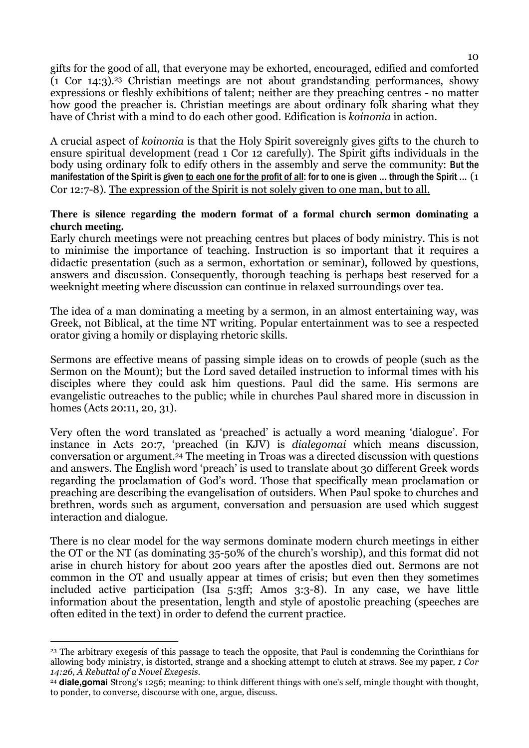gifts for the good of all, that everyone may be exhorted, encouraged, edified and comforted (1 Cor 14:3).23 Christian meetings are not about grandstanding performances, showy expressions or fleshly exhibitions of talent; neither are they preaching centres - no matter how good the preacher is. Christian meetings are about ordinary folk sharing what they have of Christ with a mind to do each other good. Edification is koinonia in action.

A crucial aspect of koinonia is that the Holy Spirit sovereignly gives gifts to the church to ensure spiritual development (read 1 Cor 12 carefully). The Spirit gifts individuals in the body using ordinary folk to edify others in the assembly and serve the community: But the manifestation of the Spirit is given to each one for the profit of all: for to one is given ... through the Spirit ... (1 Cor 12:7-8). The expression of the Spirit is not solely given to one man, but to all.

#### **There is silence regarding the modern format of a formal church sermon dominating a church meeting.**

Early church meetings were not preaching centres but places of body ministry. This is not to minimise the importance of teaching. Instruction is so important that it requires a didactic presentation (such as a sermon, exhortation or seminar), followed by questions, answers and discussion. Consequently, thorough teaching is perhaps best reserved for a weeknight meeting where discussion can continue in relaxed surroundings over tea.

The idea of a man dominating a meeting by a sermon, in an almost entertaining way, was Greek, not Biblical, at the time NT writing. Popular entertainment was to see a respected orator giving a homily or displaying rhetoric skills.

Sermons are effective means of passing simple ideas on to crowds of people (such as the Sermon on the Mount); but the Lord saved detailed instruction to informal times with his disciples where they could ask him questions. Paul did the same. His sermons are evangelistic outreaches to the public; while in churches Paul shared more in discussion in homes (Acts 20:11, 20, 31).

Very often the word translated as 'preached' is actually a word meaning 'dialogue'. For instance in Acts 20:7, 'preached (in KJV) is dialegomai which means discussion, conversation or argument.24 The meeting in Troas was a directed discussion with questions and answers. The English word 'preach' is used to translate about 30 different Greek words regarding the proclamation of God's word. Those that specifically mean proclamation or preaching are describing the evangelisation of outsiders. When Paul spoke to churches and brethren, words such as argument, conversation and persuasion are used which suggest interaction and dialogue.

There is no clear model for the way sermons dominate modern church meetings in either the OT or the NT (as dominating 35-50% of the church's worship), and this format did not arise in church history for about 200 years after the apostles died out. Sermons are not common in the OT and usually appear at times of crisis; but even then they sometimes included active participation (Isa 5:3ff; Amos 3:3-8). In any case, we have little information about the presentation, length and style of apostolic preaching (speeches are often edited in the text) in order to defend the current practice.

 $\overline{a}$ <sup>23</sup> The arbitrary exegesis of this passage to teach the opposite, that Paul is condemning the Corinthians for allowing body ministry, is distorted, strange and a shocking attempt to clutch at straws. See my paper, 1 Cor 14:26, A Rebuttal of a Novel Exegesis.

<sup>&</sup>lt;sup>24</sup> diale, gomai Strong's 1256; meaning: to think different things with one's self, mingle thought with thought, to ponder, to converse, discourse with one, argue, discuss.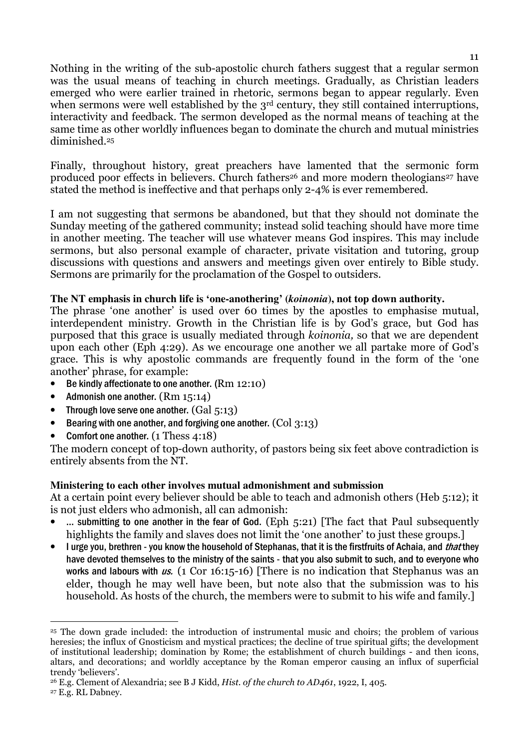Nothing in the writing of the sub-apostolic church fathers suggest that a regular sermon was the usual means of teaching in church meetings. Gradually, as Christian leaders emerged who were earlier trained in rhetoric, sermons began to appear regularly. Even when sermons were well established by the 3<sup>rd</sup> century, they still contained interruptions, interactivity and feedback. The sermon developed as the normal means of teaching at the same time as other worldly influences began to dominate the church and mutual ministries diminished.<sup>25</sup>

Finally, throughout history, great preachers have lamented that the sermonic form produced poor effects in believers. Church fathers<sup>26</sup> and more modern theologians<sup>27</sup> have stated the method is ineffective and that perhaps only 2-4% is ever remembered.

I am not suggesting that sermons be abandoned, but that they should not dominate the Sunday meeting of the gathered community; instead solid teaching should have more time in another meeting. The teacher will use whatever means God inspires. This may include sermons, but also personal example of character, private visitation and tutoring, group discussions with questions and answers and meetings given over entirely to Bible study. Sermons are primarily for the proclamation of the Gospel to outsiders.

## **The NT emphasis in church life is 'one-anothering' (***koinonia***), not top down authority.**

The phrase 'one another' is used over 60 times by the apostles to emphasise mutual, interdependent ministry. Growth in the Christian life is by God's grace, but God has purposed that this grace is usually mediated through koinonia, so that we are dependent upon each other (Eph 4:29). As we encourage one another we all partake more of God's grace. This is why apostolic commands are frequently found in the form of the 'one another' phrase, for example:

- Be kindly affectionate to one another. (Rm 12:10)
- Admonish one another.  $(Rm 15:14)$
- Through love serve one another.  $(Gal 5:13)$
- Bearing with one another, and forgiving one another.  $(Col 3:13)$
- Comfort one another. (1 Thess 4:18)

The modern concept of top-down authority, of pastors being six feet above contradiction is entirely absents from the NT.

## **Ministering to each other involves mutual admonishment and submission**

At a certain point every believer should be able to teach and admonish others (Heb 5:12); it is not just elders who admonish, all can admonish:

- ... submitting to one another in the fear of God. (Eph  $5:21$ ) [The fact that Paul subsequently highlights the family and slaves does not limit the 'one another' to just these groups.
- I urge you, brethren you know the household of Stephanas, that it is the firstfruits of Achaia, and *that* they have devoted themselves to the ministry of the saints - that you also submit to such, and to everyone who works and labours with  $\mu s$ . (1 Cor 16:15-16) [There is no indication that Stephanus was an elder, though he may well have been, but note also that the submission was to his household. As hosts of the church, the members were to submit to his wife and family.]

 $\overline{a}$ <sup>25</sup> The down grade included: the introduction of instrumental music and choirs; the problem of various heresies; the influx of Gnosticism and mystical practices; the decline of true spiritual gifts; the development of institutional leadership; domination by Rome; the establishment of church buildings - and then icons, altars, and decorations; and worldly acceptance by the Roman emperor causing an influx of superficial trendy 'believers'.

<sup>&</sup>lt;sup>26</sup> E.g. Clement of Alexandria; see B J Kidd, *Hist. of the church to AD461*, 1922, I, 405.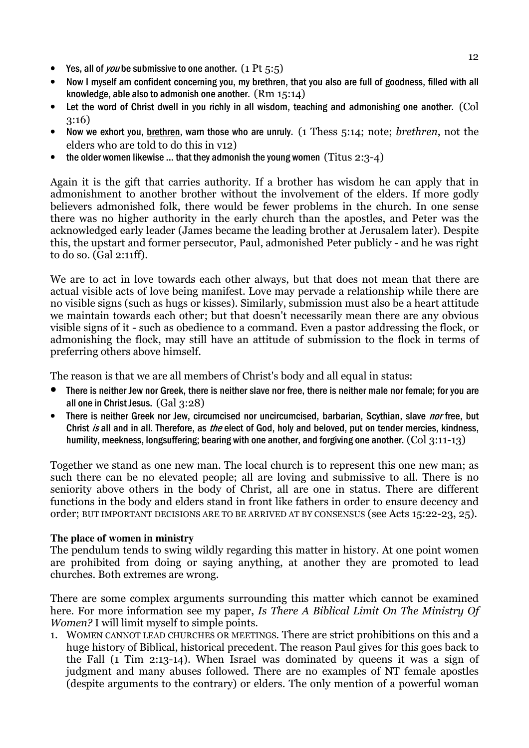- Yes, all of *you* be submissive to one another.  $(1 \text{ Pt } 5:5)$
- Now I myself am confident concerning you, my brethren, that you also are full of goodness, filled with all knowledge, able also to admonish one another. (Rm 15:14)
- Let the word of Christ dwell in you richly in all wisdom, teaching and admonishing one another. (Col 3:16)
- Now we exhort you, brethren, warn those who are unruly. (1 Thess 5:14; note; *brethren*, not the elders who are told to do this in v12)
- the older women likewise ... that they admonish the young women (Titus  $2:3-4$ )

Again it is the gift that carries authority. If a brother has wisdom he can apply that in admonishment to another brother without the involvement of the elders. If more godly believers admonished folk, there would be fewer problems in the church. In one sense there was no higher authority in the early church than the apostles, and Peter was the acknowledged early leader (James became the leading brother at Jerusalem later). Despite this, the upstart and former persecutor, Paul, admonished Peter publicly - and he was right to do so. (Gal 2:11ff).

We are to act in love towards each other always, but that does not mean that there are actual visible acts of love being manifest. Love may pervade a relationship while there are no visible signs (such as hugs or kisses). Similarly, submission must also be a heart attitude we maintain towards each other; but that doesn't necessarily mean there are any obvious visible signs of it - such as obedience to a command. Even a pastor addressing the flock, or admonishing the flock, may still have an attitude of submission to the flock in terms of preferring others above himself.

The reason is that we are all members of Christ's body and all equal in status:

- There is neither Jew nor Greek, there is neither slave nor free, there is neither male nor female; for you are all one in Christ Jesus. (Gal 3:28)
- There is neither Greek nor Jew, circumcised nor uncircumcised, barbarian, Scythian, slave *nor* free, but Christ is all and in all. Therefore, as the elect of God, holy and beloved, put on tender mercies, kindness, humility, meekness, longsuffering; bearing with one another, and forgiving one another. (Col 3:11-13)

Together we stand as one new man. The local church is to represent this one new man; as such there can be no elevated people; all are loving and submissive to all. There is no seniority above others in the body of Christ, all are one in status. There are different functions in the body and elders stand in front like fathers in order to ensure decency and order; BUT IMPORTANT DECISIONS ARE TO BE ARRIVED AT BY CONSENSUS (see Acts 15:22-23, 25).

## **The place of women in ministry**

The pendulum tends to swing wildly regarding this matter in history. At one point women are prohibited from doing or saying anything, at another they are promoted to lead churches. Both extremes are wrong.

There are some complex arguments surrounding this matter which cannot be examined here. For more information see my paper, Is There A Biblical Limit On The Ministry Of Women? I will limit myself to simple points.

1. WOMEN CANNOT LEAD CHURCHES OR MEETINGS. There are strict prohibitions on this and a huge history of Biblical, historical precedent. The reason Paul gives for this goes back to the Fall (1 Tim 2:13-14). When Israel was dominated by queens it was a sign of judgment and many abuses followed. There are no examples of NT female apostles (despite arguments to the contrary) or elders. The only mention of a powerful woman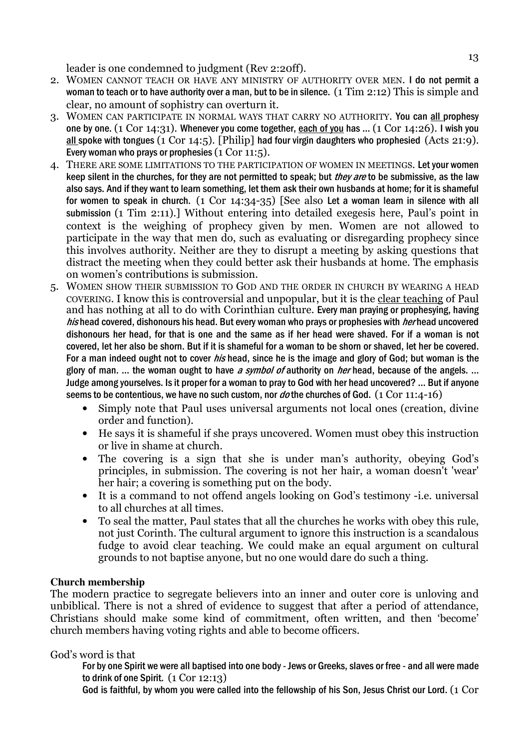leader is one condemned to judgment (Rev 2:20ff).

- 2. WOMEN CANNOT TEACH OR HAVE ANY MINISTRY OF AUTHORITY OVER MEN. I do not permit a woman to teach or to have authority over a man, but to be in silence. (1 Tim 2:12) This is simple and clear, no amount of sophistry can overturn it.
- 3. WOMEN CAN PARTICIPATE IN NORMAL WAYS THAT CARRY NO AUTHORITY. You can all prophesy one by one. (1 Cor 14:31). Whenever you come together, each of you has … (1 Cor 14:26). I wish you all spoke with tongues (1 Cor 14:5). [Philip] had four virgin daughters who prophesied (Acts 21:9). Every woman who prays or prophesies (1 Cor 11:5).
- 4. THERE ARE SOME LIMITATIONS TO THE PARTICIPATION OF WOMEN IN MEETINGS. Let your women keep silent in the churches, for they are not permitted to speak; but *they are* to be submissive, as the law also says. And if they want to learn something, let them ask their own husbands at home; for it is shameful for women to speak in church. (1 Cor 14:34-35) [See also Let a woman learn in silence with all submission (1 Tim 2:11).] Without entering into detailed exegesis here, Paul's point in context is the weighing of prophecy given by men. Women are not allowed to participate in the way that men do, such as evaluating or disregarding prophecy since this involves authority. Neither are they to disrupt a meeting by asking questions that distract the meeting when they could better ask their husbands at home. The emphasis on women's contributions is submission.
- 5. WOMEN SHOW THEIR SUBMISSION TO GOD AND THE ORDER IN CHURCH BY WEARING A HEAD COVERING. I know this is controversial and unpopular, but it is the clear teaching of Paul and has nothing at all to do with Corinthian culture. Every man praying or prophesying, having his head covered, dishonours his head. But every woman who prays or prophesies with her head uncovered dishonours her head, for that is one and the same as if her head were shaved. For if a woman is not covered, let her also be shorn. But if it is shameful for a woman to be shorn or shaved, let her be covered. For a man indeed ought not to cover *his* head, since he is the image and glory of God; but woman is the glory of man. ... the woman ought to have *a symbol of* authority on *her* head, because of the angels. ... Judge among yourselves. Is it proper for a woman to pray to God with her head uncovered? … But if anyone seems to be contentious, we have no such custom, nor  $\omega$  the churches of God. (1 Cor 11:4-16)
	- Simply note that Paul uses universal arguments not local ones (creation, divine order and function).
	- He says it is shameful if she prays uncovered. Women must obey this instruction or live in shame at church.
	- The covering is a sign that she is under man's authority, obeying God's principles, in submission. The covering is not her hair, a woman doesn't 'wear' her hair; a covering is something put on the body.
	- It is a command to not offend angels looking on God's testimony -i.e. universal to all churches at all times.
	- To seal the matter, Paul states that all the churches he works with obey this rule, not just Corinth. The cultural argument to ignore this instruction is a scandalous fudge to avoid clear teaching. We could make an equal argument on cultural grounds to not baptise anyone, but no one would dare do such a thing.

## **Church membership**

The modern practice to segregate believers into an inner and outer core is unloving and unbiblical. There is not a shred of evidence to suggest that after a period of attendance, Christians should make some kind of commitment, often written, and then 'become' church members having voting rights and able to become officers.

## God's word is that

For by one Spirit we were all baptised into one body - Jews or Greeks, slaves or free - and all were made to drink of one Spirit. (1 Cor 12:13)

God is faithful, by whom you were called into the fellowship of his Son, Jesus Christ our Lord. (1 Cor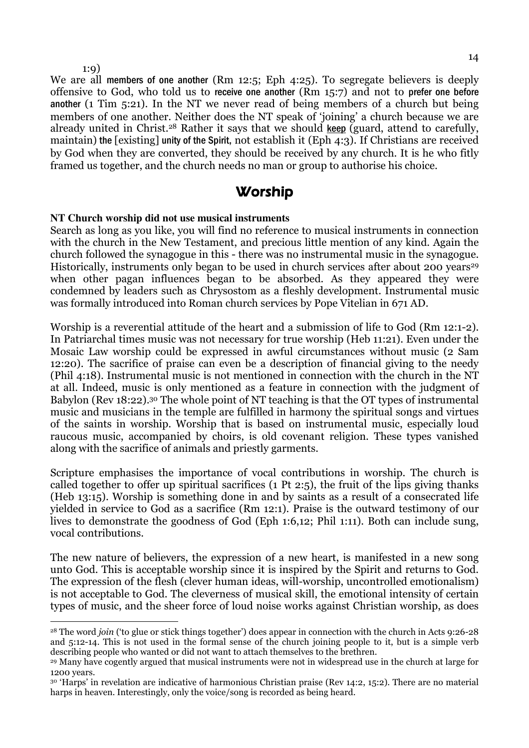We are all members of one another (Rm 12:5; Eph 4:25). To segregate believers is deeply offensive to God, who told us to receive one another (Rm 15:7) and not to prefer one before another (1 Tim 5:21). In the NT we never read of being members of a church but being members of one another. Neither does the NT speak of 'joining' a church because we are already united in Christ.<sup>28</sup> Rather it says that we should keep (guard, attend to carefully, maintain) the [existing] unity of the Spirit, not establish it (Eph 4:3). If Christians are received by God when they are converted, they should be received by any church. It is he who fitly framed us together, and the church needs no man or group to authorise his choice.

# **Worship**

#### **NT Church worship did not use musical instruments**

Search as long as you like, you will find no reference to musical instruments in connection with the church in the New Testament, and precious little mention of any kind. Again the church followed the synagogue in this - there was no instrumental music in the synagogue. Historically, instruments only began to be used in church services after about 200 years<sup>29</sup> when other pagan influences began to be absorbed. As they appeared they were condemned by leaders such as Chrysostom as a fleshly development. Instrumental music was formally introduced into Roman church services by Pope Vitelian in 671 AD.

Worship is a reverential attitude of the heart and a submission of life to God (Rm 12:1-2). In Patriarchal times music was not necessary for true worship (Heb 11:21). Even under the Mosaic Law worship could be expressed in awful circumstances without music (2 Sam 12:20). The sacrifice of praise can even be a description of financial giving to the needy (Phil 4:18). Instrumental music is not mentioned in connection with the church in the NT at all. Indeed, music is only mentioned as a feature in connection with the judgment of Babylon (Rev 18:22).30 The whole point of NT teaching is that the OT types of instrumental music and musicians in the temple are fulfilled in harmony the spiritual songs and virtues of the saints in worship. Worship that is based on instrumental music, especially loud raucous music, accompanied by choirs, is old covenant religion. These types vanished along with the sacrifice of animals and priestly garments.

Scripture emphasises the importance of vocal contributions in worship. The church is called together to offer up spiritual sacrifices (1 Pt 2:5), the fruit of the lips giving thanks (Heb 13:15). Worship is something done in and by saints as a result of a consecrated life yielded in service to God as a sacrifice (Rm 12:1). Praise is the outward testimony of our lives to demonstrate the goodness of God (Eph 1:6,12; Phil 1:11). Both can include sung, vocal contributions.

The new nature of believers, the expression of a new heart, is manifested in a new song unto God. This is acceptable worship since it is inspired by the Spirit and returns to God. The expression of the flesh (clever human ideas, will-worship, uncontrolled emotionalism) is not acceptable to God. The cleverness of musical skill, the emotional intensity of certain types of music, and the sheer force of loud noise works against Christian worship, as does

 $\overline{a}$ <sup>28</sup> The word join ('to glue or stick things together') does appear in connection with the church in Acts 9:26-28 and 5:12-14. This is not used in the formal sense of the church joining people to it, but is a simple verb describing people who wanted or did not want to attach themselves to the brethren.

<sup>29</sup> Many have cogently argued that musical instruments were not in widespread use in the church at large for 1200 years.

<sup>30</sup> 'Harps' in revelation are indicative of harmonious Christian praise (Rev 14:2, 15:2). There are no material harps in heaven. Interestingly, only the voice/song is recorded as being heard.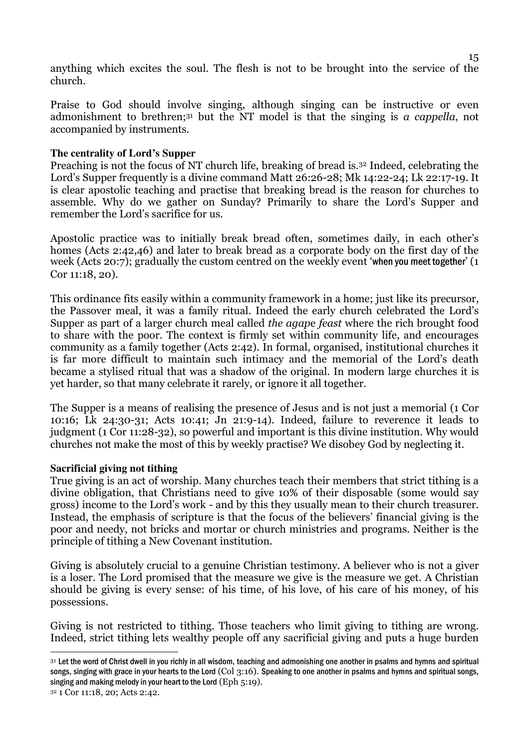anything which excites the soul. The flesh is not to be brought into the service of the church.

Praise to God should involve singing, although singing can be instructive or even admonishment to brethren;<sup>31</sup> but the NT model is that the singing is a cappella, not accompanied by instruments.

#### **The centrality of Lord's Supper**

Preaching is not the focus of NT church life, breaking of bread is.32 Indeed, celebrating the Lord's Supper frequently is a divine command Matt 26:26-28; Mk 14:22-24; Lk 22:17-19. It is clear apostolic teaching and practise that breaking bread is the reason for churches to assemble. Why do we gather on Sunday? Primarily to share the Lord's Supper and remember the Lord's sacrifice for us.

Apostolic practice was to initially break bread often, sometimes daily, in each other's homes (Acts 2:42,46) and later to break bread as a corporate body on the first day of the week (Acts 20:7); gradually the custom centred on the weekly event 'when you meet together' (1 Cor 11:18, 20).

This ordinance fits easily within a community framework in a home; just like its precursor, the Passover meal, it was a family ritual. Indeed the early church celebrated the Lord's Supper as part of a larger church meal called the agape feast where the rich brought food to share with the poor. The context is firmly set within community life, and encourages community as a family together (Acts 2:42). In formal, organised, institutional churches it is far more difficult to maintain such intimacy and the memorial of the Lord's death became a stylised ritual that was a shadow of the original. In modern large churches it is yet harder, so that many celebrate it rarely, or ignore it all together.

The Supper is a means of realising the presence of Jesus and is not just a memorial (1 Cor 10:16; Lk 24:30-31; Acts 10:41; Jn 21:9-14). Indeed, failure to reverence it leads to judgment (1 Cor 11:28-32), so powerful and important is this divine institution. Why would churches not make the most of this by weekly practise? We disobey God by neglecting it.

#### **Sacrificial giving not tithing**

True giving is an act of worship. Many churches teach their members that strict tithing is a divine obligation, that Christians need to give 10% of their disposable (some would say gross) income to the Lord's work - and by this they usually mean to their church treasurer. Instead, the emphasis of scripture is that the focus of the believers' financial giving is the poor and needy, not bricks and mortar or church ministries and programs. Neither is the principle of tithing a New Covenant institution.

Giving is absolutely crucial to a genuine Christian testimony. A believer who is not a giver is a loser. The Lord promised that the measure we give is the measure we get. A Christian should be giving is every sense: of his time, of his love, of his care of his money, of his possessions.

Giving is not restricted to tithing. Those teachers who limit giving to tithing are wrong. Indeed, strict tithing lets wealthy people off any sacrificial giving and puts a huge burden

 $\overline{a}$ 31 Let the word of Christ dwell in you richly in all wisdom, teaching and admonishing one another in psalms and hymns and spiritual songs, singing with grace in your hearts to the Lord (Col 3:16). Speaking to one another in psalms and hymns and spiritual songs, singing and making melody in your heart to the Lord (Eph 5:19).

<sup>32</sup> 1 Cor 11:18, 20; Acts 2:42.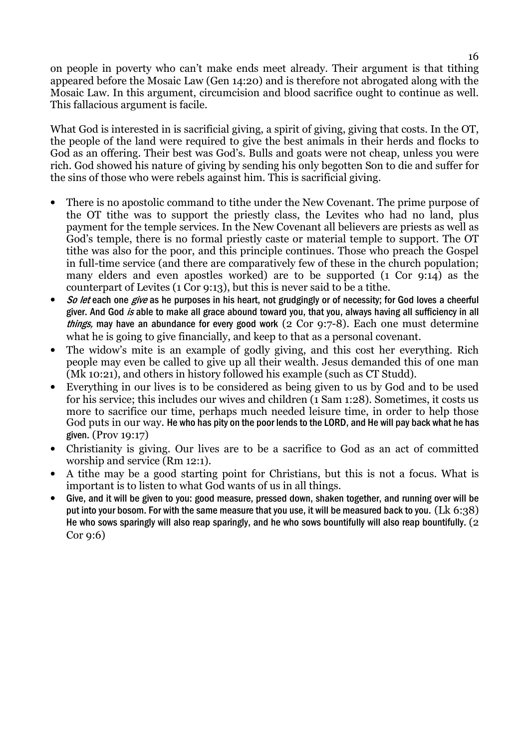on people in poverty who can't make ends meet already. Their argument is that tithing appeared before the Mosaic Law (Gen 14:20) and is therefore not abrogated along with the Mosaic Law. In this argument, circumcision and blood sacrifice ought to continue as well. This fallacious argument is facile.

What God is interested in is sacrificial giving, a spirit of giving, giving that costs. In the OT, the people of the land were required to give the best animals in their herds and flocks to God as an offering. Their best was God's. Bulls and goats were not cheap, unless you were rich. God showed his nature of giving by sending his only begotten Son to die and suffer for the sins of those who were rebels against him. This is sacrificial giving.

- There is no apostolic command to tithe under the New Covenant. The prime purpose of the OT tithe was to support the priestly class, the Levites who had no land, plus payment for the temple services. In the New Covenant all believers are priests as well as God's temple, there is no formal priestly caste or material temple to support. The OT tithe was also for the poor, and this principle continues. Those who preach the Gospel in full-time service (and there are comparatively few of these in the church population; many elders and even apostles worked) are to be supported (1 Cor 9:14) as the counterpart of Levites (1 Cor 9:13), but this is never said to be a tithe.
- So let each one give as he purposes in his heart, not grudgingly or of necessity; for God loves a cheerful giver. And God is able to make all grace abound toward you, that you, always having all sufficiency in all *things*, may have an abundance for every good work ( $2 \text{ Cor } 9:7-8$ ). Each one must determine what he is going to give financially, and keep to that as a personal covenant.
- The widow's mite is an example of godly giving, and this cost her everything. Rich people may even be called to give up all their wealth. Jesus demanded this of one man (Mk 10:21), and others in history followed his example (such as CT Studd).
- Everything in our lives is to be considered as being given to us by God and to be used for his service; this includes our wives and children (1 Sam 1:28). Sometimes, it costs us more to sacrifice our time, perhaps much needed leisure time, in order to help those God puts in our way. He who has pity on the poor lends to the LORD, and He will pay back what he has given. (Prov 19:17)
- Christianity is giving. Our lives are to be a sacrifice to God as an act of committed worship and service (Rm 12:1).
- A tithe may be a good starting point for Christians, but this is not a focus. What is important is to listen to what God wants of us in all things.
- Give, and it will be given to you: good measure, pressed down, shaken together, and running over will be put into your bosom. For with the same measure that you use, it will be measured back to you. (Lk 6:38) He who sows sparingly will also reap sparingly, and he who sows bountifully will also reap bountifully. (2) Cor 9:6)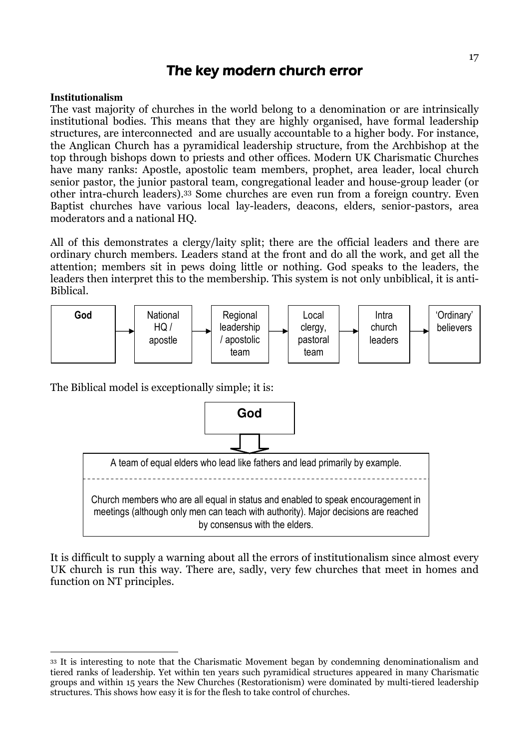# The key modern church error

#### **Institutionalism**

The vast majority of churches in the world belong to a denomination or are intrinsically institutional bodies. This means that they are highly organised, have formal leadership structures, are interconnected and are usually accountable to a higher body. For instance, the Anglican Church has a pyramidical leadership structure, from the Archbishop at the top through bishops down to priests and other offices. Modern UK Charismatic Churches have many ranks: Apostle, apostolic team members, prophet, area leader, local church senior pastor, the junior pastoral team, congregational leader and house-group leader (or other intra-church leaders).33 Some churches are even run from a foreign country. Even Baptist churches have various local lay-leaders, deacons, elders, senior-pastors, area moderators and a national HQ.

All of this demonstrates a clergy/laity split; there are the official leaders and there are ordinary church members. Leaders stand at the front and do all the work, and get all the attention; members sit in pews doing little or nothing. God speaks to the leaders, the leaders then interpret this to the membership. This system is not only unbiblical, it is anti-Biblical.



The Biblical model is exceptionally simple; it is:



It is difficult to supply a warning about all the errors of institutionalism since almost every UK church is run this way. There are, sadly, very few churches that meet in homes and function on NT principles.

 $\overline{a}$ <sup>33</sup> It is interesting to note that the Charismatic Movement began by condemning denominationalism and tiered ranks of leadership. Yet within ten years such pyramidical structures appeared in many Charismatic groups and within 15 years the New Churches (Restorationism) were dominated by multi-tiered leadership structures. This shows how easy it is for the flesh to take control of churches.